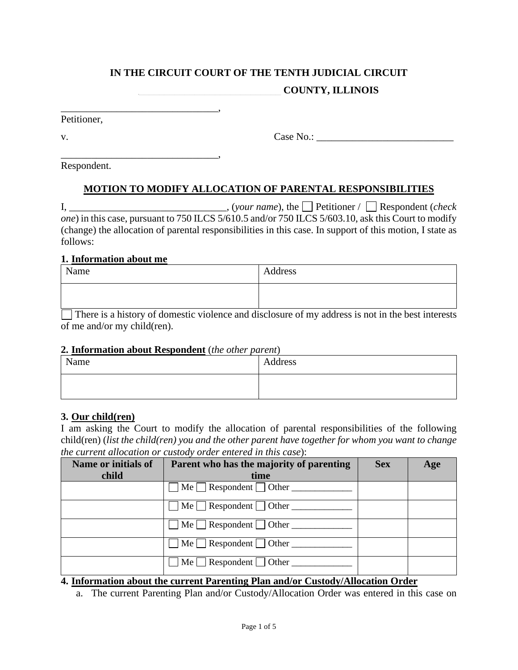#### **IN THE CIRCUIT COURT OF THE TENTH JUDICIAL CIRCUIT \_\_\_\_\_\_\_\_\_\_\_\_\_\_\_\_\_\_\_\_\_\_\_\_\_\_\_\_ COUNTY, ILLINOIS**

\_\_\_\_\_\_\_\_\_\_\_\_\_\_\_\_\_\_\_\_\_\_\_\_\_\_\_\_\_\_\_, Petitioner,

v. Case No.: \_\_\_\_\_\_\_\_\_\_\_\_\_\_\_\_\_\_\_\_\_\_\_\_\_\_\_

\_\_\_\_\_\_\_\_\_\_\_\_\_\_\_\_\_\_\_\_\_\_\_\_\_\_\_\_\_\_\_, Respondent.

# **MOTION TO MODIFY ALLOCATION OF PARENTAL RESPONSIBILITIES**

I, \_\_\_\_\_\_\_\_\_\_\_\_\_\_\_\_\_\_\_\_\_\_\_\_\_\_\_\_\_\_\_, (*your name*), the Petitioner / Respondent (*check one*) in this case, pursuant to 750 ILCS 5/610.5 and/or 750 ILCS 5/603.10, ask this Court to modify (change) the allocation of parental responsibilities in this case. In support of this motion, I state as follows:

#### **1. Information about me**

| Name | Address                                                                                               |
|------|-------------------------------------------------------------------------------------------------------|
|      |                                                                                                       |
|      | Thomas is a biotomy of domostic violance and disologyne of next address is not in the boot interests. |

 $\Box$  There is a history of domestic violence and disclosure of my address is not in the best interests of me and/or my child(ren).

#### **2. Information about Respondent** (*the other parent*)

| Name | Address |
|------|---------|
|      |         |

### **3. Our child(ren)**

I am asking the Court to modify the allocation of parental responsibilities of the following child(ren) (*list the child(ren) you and the other parent have together for whom you want to change the current allocation or custody order entered in this case*):

| Name or initials of | Parent who has the majority of parenting       | <b>Sex</b> | Age |
|---------------------|------------------------------------------------|------------|-----|
| child               | time                                           |            |     |
|                     | Me $\Box$ Respondent $\Box$ Other              |            |     |
|                     | $\mathbf{M}\mathbf{e}$ Respondent $\Box$ Other |            |     |
|                     | $\mathbf{M}\mathbf{e}$ Respondent $\Box$ Other |            |     |
|                     | $Me \Box$ Respondent $\Box$ Other $\Box$       |            |     |
|                     | $Me \Box$ Respondent $\Box$ Other $\Box$       |            |     |

### **4. Information about the current Parenting Plan and/or Custody/Allocation Order**

a. The current Parenting Plan and/or Custody/Allocation Order was entered in this case on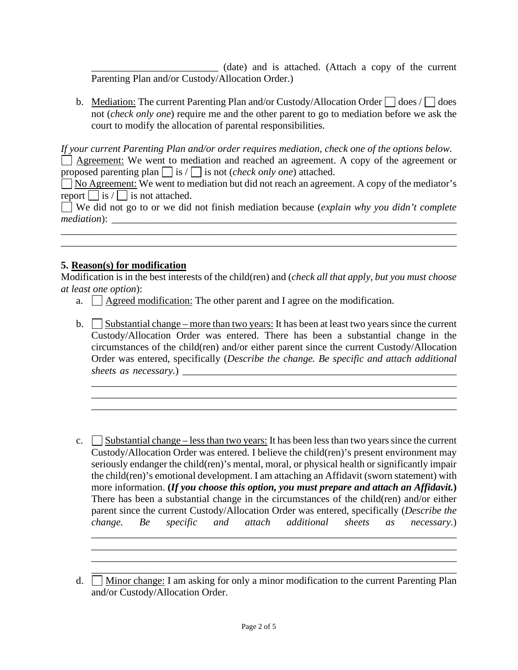\_\_\_\_\_\_\_\_\_\_\_\_\_\_\_\_\_\_\_\_\_\_\_\_\_ (date) and is attached. (Attach a copy of the current Parenting Plan and/or Custody/Allocation Order.)

b. Mediation: The current Parenting Plan and/or Custody/Allocation Order  $\Box$  does /  $\Box$  does not (*check only one*) require me and the other parent to go to mediation before we ask the court to modify the allocation of parental responsibilities.

*If your current Parenting Plan and/or order requires mediation, check one of the options below.*  Agreement: We went to mediation and reached an agreement. A copy of the agreement or proposed parenting plan  $\Box$  is  $\Box$  is not *(check only one*) attached.

 $\Box$  No Agreement: We went to mediation but did not reach an agreement. A copy of the mediator's report  $\Box$  is  $\Box$  is not attached.

We did not go to or we did not finish mediation because (*explain why you didn't complete mediation*): \_\_\_\_\_\_\_\_\_\_\_\_\_\_\_\_\_\_\_\_\_\_\_\_\_\_\_\_\_\_\_\_\_\_\_\_\_\_\_\_\_\_\_\_\_\_\_\_\_\_\_\_\_\_\_\_\_\_\_\_\_\_\_\_\_\_\_\_

\_\_\_\_\_\_\_\_\_\_\_\_\_\_\_\_\_\_\_\_\_\_\_\_\_\_\_\_\_\_\_\_\_\_\_\_\_\_\_\_\_\_\_\_\_\_\_\_\_\_\_\_\_\_\_\_\_\_\_\_\_\_\_\_\_\_\_\_\_\_\_\_\_\_\_\_\_\_

#### **5. Reason(s) for modification**

Modification is in the best interests of the child(ren) and (*check all that apply, but you must choose at least one option*):

- a.  $\Box$  Agreed modification: The other parent and I agree on the modification.
- b. Substantial change more than two years: It has been at least two years since the current Custody/Allocation Order was entered. There has been a substantial change in the circumstances of the child(ren) and/or either parent since the current Custody/Allocation Order was entered, specifically (*Describe the change. Be specific and attach additional sheets as necessary.*) \_\_\_\_\_\_\_\_\_\_\_\_\_\_\_\_\_\_\_\_\_\_\_\_\_\_\_\_\_\_\_\_\_\_\_\_\_\_\_\_\_\_\_\_\_\_\_\_\_\_\_\_\_\_

\_\_\_\_\_\_\_\_\_\_\_\_\_\_\_\_\_\_\_\_\_\_\_\_\_\_\_\_\_\_\_\_\_\_\_\_\_\_\_\_\_\_\_\_\_\_\_\_\_\_\_\_\_\_\_\_\_\_\_\_\_\_\_\_\_\_\_\_\_\_\_\_ \_\_\_\_\_\_\_\_\_\_\_\_\_\_\_\_\_\_\_\_\_\_\_\_\_\_\_\_\_\_\_\_\_\_\_\_\_\_\_\_\_\_\_\_\_\_\_\_\_\_\_\_\_\_\_\_\_\_\_\_\_\_\_\_\_\_\_\_\_\_\_\_ \_\_\_\_\_\_\_\_\_\_\_\_\_\_\_\_\_\_\_\_\_\_\_\_\_\_\_\_\_\_\_\_\_\_\_\_\_\_\_\_\_\_\_\_\_\_\_\_\_\_\_\_\_\_\_\_\_\_\_\_\_\_\_\_\_\_\_\_\_\_\_\_

c. Substantial change – less than two years: It has been less than two years since the current Custody/Allocation Order was entered. I believe the child(ren)'s present environment may seriously endanger the child(ren)'s mental, moral, or physical health or significantly impair the child(ren)'s emotional development. I am attaching an Affidavit (sworn statement) with more information. **(***If you choose this option, you must prepare and attach an Affidavit.***)**  There has been a substantial change in the circumstances of the child(ren) and/or either parent since the current Custody/Allocation Order was entered, specifically (*Describe the change. Be specific and attach additional sheets as necessary.*)

\_\_\_\_\_\_\_\_\_\_\_\_\_\_\_\_\_\_\_\_\_\_\_\_\_\_\_\_\_\_\_\_\_\_\_\_\_\_\_\_\_\_\_\_\_\_\_\_\_\_\_\_\_\_\_\_\_\_\_\_\_\_\_\_\_\_\_\_\_\_\_\_ \_\_\_\_\_\_\_\_\_\_\_\_\_\_\_\_\_\_\_\_\_\_\_\_\_\_\_\_\_\_\_\_\_\_\_\_\_\_\_\_\_\_\_\_\_\_\_\_\_\_\_\_\_\_\_\_\_\_\_\_\_\_\_\_\_\_\_\_\_\_\_\_

\_\_\_\_\_\_\_\_\_\_\_\_\_\_\_\_\_\_\_\_\_\_\_\_\_\_\_\_\_\_\_\_\_\_\_\_\_\_\_\_\_\_\_\_\_\_\_\_\_\_\_\_\_\_\_\_\_\_\_\_\_\_\_\_\_\_\_\_\_\_\_\_

d.  $\Box$  Minor change: I am asking for only a minor modification to the current Parenting Plan and/or Custody/Allocation Order.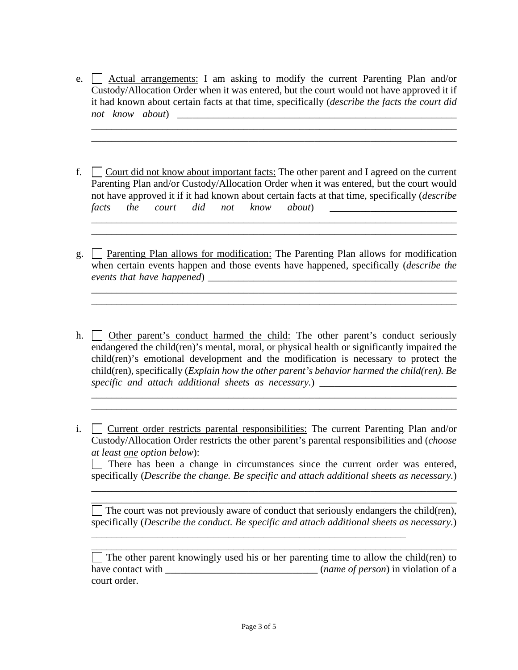e.  $\Box$  Actual arrangements: I am asking to modify the current Parenting Plan and/or Custody/Allocation Order when it was entered, but the court would not have approved it if it had known about certain facts at that time, specifically (*describe the facts the court did not know about*) \_\_\_\_\_\_\_\_\_\_\_\_\_\_\_\_\_\_\_\_\_\_\_\_\_\_\_\_\_\_\_\_\_\_\_\_\_\_\_\_\_\_\_\_\_\_\_\_\_\_\_\_\_\_\_

\_\_\_\_\_\_\_\_\_\_\_\_\_\_\_\_\_\_\_\_\_\_\_\_\_\_\_\_\_\_\_\_\_\_\_\_\_\_\_\_\_\_\_\_\_\_\_\_\_\_\_\_\_\_\_\_\_\_\_\_\_\_\_\_\_\_\_\_\_\_\_\_ \_\_\_\_\_\_\_\_\_\_\_\_\_\_\_\_\_\_\_\_\_\_\_\_\_\_\_\_\_\_\_\_\_\_\_\_\_\_\_\_\_\_\_\_\_\_\_\_\_\_\_\_\_\_\_\_\_\_\_\_\_\_\_\_\_\_\_\_\_\_\_\_

f.  $\Box$  Court did not know about important facts: The other parent and I agreed on the current Parenting Plan and/or Custody/Allocation Order when it was entered, but the court would not have approved it if it had known about certain facts at that time, specifically (*describe facts the court did not know about*) \_\_\_\_\_\_\_\_\_\_\_\_\_\_\_\_\_\_\_\_\_\_\_\_\_

\_\_\_\_\_\_\_\_\_\_\_\_\_\_\_\_\_\_\_\_\_\_\_\_\_\_\_\_\_\_\_\_\_\_\_\_\_\_\_\_\_\_\_\_\_\_\_\_\_\_\_\_\_\_\_\_\_\_\_\_\_\_\_\_\_\_\_\_\_\_\_\_ \_\_\_\_\_\_\_\_\_\_\_\_\_\_\_\_\_\_\_\_\_\_\_\_\_\_\_\_\_\_\_\_\_\_\_\_\_\_\_\_\_\_\_\_\_\_\_\_\_\_\_\_\_\_\_\_\_\_\_\_\_\_\_\_\_\_\_\_\_\_\_\_

g.  $\Box$  Parenting Plan allows for modification: The Parenting Plan allows for modification when certain events happen and those events have happened, specifically (*describe the events that have happened*) \_\_\_\_\_\_\_\_\_\_\_\_\_\_\_\_\_\_\_\_\_\_\_\_\_\_\_\_\_\_\_\_\_\_\_\_\_\_\_\_\_\_\_\_\_\_\_\_\_

\_\_\_\_\_\_\_\_\_\_\_\_\_\_\_\_\_\_\_\_\_\_\_\_\_\_\_\_\_\_\_\_\_\_\_\_\_\_\_\_\_\_\_\_\_\_\_\_\_\_\_\_\_\_\_\_\_\_\_\_\_\_\_\_\_\_\_\_\_\_\_\_ \_\_\_\_\_\_\_\_\_\_\_\_\_\_\_\_\_\_\_\_\_\_\_\_\_\_\_\_\_\_\_\_\_\_\_\_\_\_\_\_\_\_\_\_\_\_\_\_\_\_\_\_\_\_\_\_\_\_\_\_\_\_\_\_\_\_\_\_\_\_\_\_

h. <u>Other parent's conduct harmed the child:</u> The other parent's conduct seriously endangered the child(ren)'s mental, moral, or physical health or significantly impaired the child(ren)'s emotional development and the modification is necessary to protect the child(ren), specifically (*Explain how the other parent's behavior harmed the child(ren). Be specific and attach additional sheets as necessary.*) \_\_\_\_\_\_\_\_\_\_\_\_\_\_\_\_\_\_\_\_\_\_\_\_\_\_\_\_

\_\_\_\_\_\_\_\_\_\_\_\_\_\_\_\_\_\_\_\_\_\_\_\_\_\_\_\_\_\_\_\_\_\_\_\_\_\_\_\_\_\_\_\_\_\_\_\_\_\_\_\_\_\_\_\_\_\_\_\_\_\_\_\_\_\_\_\_\_\_\_\_ \_\_\_\_\_\_\_\_\_\_\_\_\_\_\_\_\_\_\_\_\_\_\_\_\_\_\_\_\_\_\_\_\_\_\_\_\_\_\_\_\_\_\_\_\_\_\_\_\_\_\_\_\_\_\_\_\_\_\_\_\_\_\_\_\_\_\_\_\_\_\_\_

i.  $\Box$  Current order restricts parental responsibilities: The current Parenting Plan and/or Custody/Allocation Order restricts the other parent's parental responsibilities and (*choose at least one option below*):

There has been a change in circumstances since the current order was entered, specifically (*Describe the change. Be specific and attach additional sheets as necessary.*)

\_\_\_\_\_\_\_\_\_\_\_\_\_\_\_\_\_\_\_\_\_\_\_\_\_\_\_\_\_\_\_\_\_\_\_\_\_\_\_\_\_\_\_\_\_\_\_\_\_\_\_\_\_\_\_\_\_\_\_\_\_\_\_\_\_\_\_\_\_\_\_\_ \_\_\_\_\_\_\_\_\_\_\_\_\_\_\_\_\_\_\_\_\_\_\_\_\_\_\_\_\_\_\_\_\_\_\_\_\_\_\_\_\_\_\_\_\_\_\_\_\_\_\_\_\_\_\_\_\_\_\_\_\_\_\_\_\_\_\_\_\_\_\_\_

 $\Box$  The court was not previously aware of conduct that seriously endangers the child(ren), specifically (*Describe the conduct. Be specific and attach additional sheets as necessary.*)

\_\_\_\_\_\_\_\_\_\_\_\_\_\_\_\_\_\_\_\_\_\_\_\_\_\_\_\_\_\_\_\_\_\_\_\_\_\_\_\_\_\_\_\_\_\_\_\_\_\_\_\_\_\_\_\_\_\_\_\_\_\_\_\_\_\_\_\_\_\_\_\_  $\Box$  The other parent knowingly used his or her parenting time to allow the child(ren) to have contact with \_\_\_\_\_\_\_\_\_\_\_\_\_\_\_\_\_\_\_\_\_\_\_\_\_\_\_\_\_\_ (*name of person*) in violation of a court order.

\_\_\_\_\_\_\_\_\_\_\_\_\_\_\_\_\_\_\_\_\_\_\_\_\_\_\_\_\_\_\_\_\_\_\_\_\_\_\_\_\_\_\_\_\_\_\_\_\_\_\_\_\_\_\_\_\_\_\_\_\_\_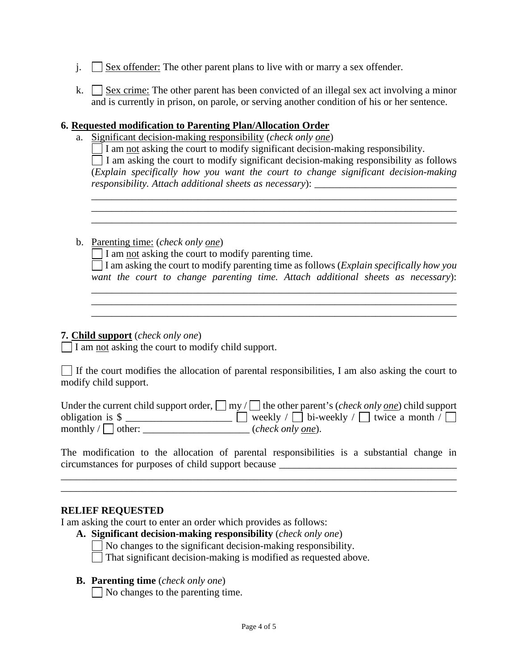- $j.$  Sex offender: The other parent plans to live with or marry a sex offender.
- k.  $\Box$  Sex crime: The other parent has been convicted of an illegal sex act involving a minor and is currently in prison, on parole, or serving another condition of his or her sentence.

#### **6. Requested modification to Parenting Plan/Allocation Order**

a. Significant decision-making responsibility (*check only one*)

| $\Box$ I am not asking the court to modify significant decision-making responsibility.        |  |  |  |
|-----------------------------------------------------------------------------------------------|--|--|--|
| $\vert$ I am asking the court to modify significant decision-making responsibility as follows |  |  |  |
| (Explain specifically how you want the court to change significant decision-making            |  |  |  |
| responsibility. Attach additional sheets as necessary):                                       |  |  |  |

\_\_\_\_\_\_\_\_\_\_\_\_\_\_\_\_\_\_\_\_\_\_\_\_\_\_\_\_\_\_\_\_\_\_\_\_\_\_\_\_\_\_\_\_\_\_\_\_\_\_\_\_\_\_\_\_\_\_\_\_\_\_\_\_\_\_\_\_\_\_\_\_

 $\mathcal{L}_\mathcal{L} = \{ \mathcal{L}_\mathcal{L} = \{ \mathcal{L}_\mathcal{L} = \{ \mathcal{L}_\mathcal{L} = \{ \mathcal{L}_\mathcal{L} = \{ \mathcal{L}_\mathcal{L} = \{ \mathcal{L}_\mathcal{L} = \{ \mathcal{L}_\mathcal{L} = \{ \mathcal{L}_\mathcal{L} = \{ \mathcal{L}_\mathcal{L} = \{ \mathcal{L}_\mathcal{L} = \{ \mathcal{L}_\mathcal{L} = \{ \mathcal{L}_\mathcal{L} = \{ \mathcal{L}_\mathcal{L} = \{ \mathcal{L}_\mathcal{$ \_\_\_\_\_\_\_\_\_\_\_\_\_\_\_\_\_\_\_\_\_\_\_\_\_\_\_\_\_\_\_\_\_\_\_\_\_\_\_\_\_\_\_\_\_\_\_\_\_\_\_\_\_\_\_\_\_\_\_\_\_\_\_\_\_\_\_\_\_\_\_\_

b. Parenting time: (*check only one*)

 $\Box$  I am not asking the court to modify parenting time.

I am asking the court to modify parenting time as follows (*Explain specifically how you want the court to change parenting time. Attach additional sheets as necessary*):

\_\_\_\_\_\_\_\_\_\_\_\_\_\_\_\_\_\_\_\_\_\_\_\_\_\_\_\_\_\_\_\_\_\_\_\_\_\_\_\_\_\_\_\_\_\_\_\_\_\_\_\_\_\_\_\_\_\_\_\_\_\_\_\_\_\_\_\_\_\_\_\_

### **7. Child support** (*check only one*)

 $\sqrt{I}$  am not asking the court to modify child support.

 $\Box$  If the court modifies the allocation of parental responsibilities, I am also asking the court to modify child support.

 $\mathcal{L}_\text{max}$  and  $\mathcal{L}_\text{max}$  and  $\mathcal{L}_\text{max}$ 

|                                     | Under the current child support order, $\Box$ my / $\Box$ the other parent's ( <i>check only <u>one</u></i> ) child support |
|-------------------------------------|-----------------------------------------------------------------------------------------------------------------------------|
| obligation is $\$                   | $\Box$ weekly / $\Box$ bi-weekly / $\Box$ twice a month / $\Box$                                                            |
| monthly $\sqrt{\phantom{a}}$ other: | (check only <u>one</u> ).                                                                                                   |

The modification to the allocation of parental responsibilities is a substantial change in circumstances for purposes of child support because \_\_\_\_\_\_\_\_\_\_\_\_\_\_\_\_\_\_\_\_\_\_\_\_\_\_\_\_\_\_\_\_\_\_\_

\_\_\_\_\_\_\_\_\_\_\_\_\_\_\_\_\_\_\_\_\_\_\_\_\_\_\_\_\_\_\_\_\_\_\_\_\_\_\_\_\_\_\_\_\_\_\_\_\_\_\_\_\_\_\_\_\_\_\_\_\_\_\_\_\_\_\_\_\_\_\_\_\_\_\_\_\_\_

### **RELIEF REQUESTED**

I am asking the court to enter an order which provides as follows:

**A. Significant decision-making responsibility** (*check only one*)

 $\overline{\bigcirc}$  No changes to the significant decision-making responsibility.

That significant decision-making is modified as requested above.

#### **B. Parenting time** (*check only one*)

 $\Box$  No changes to the parenting time.